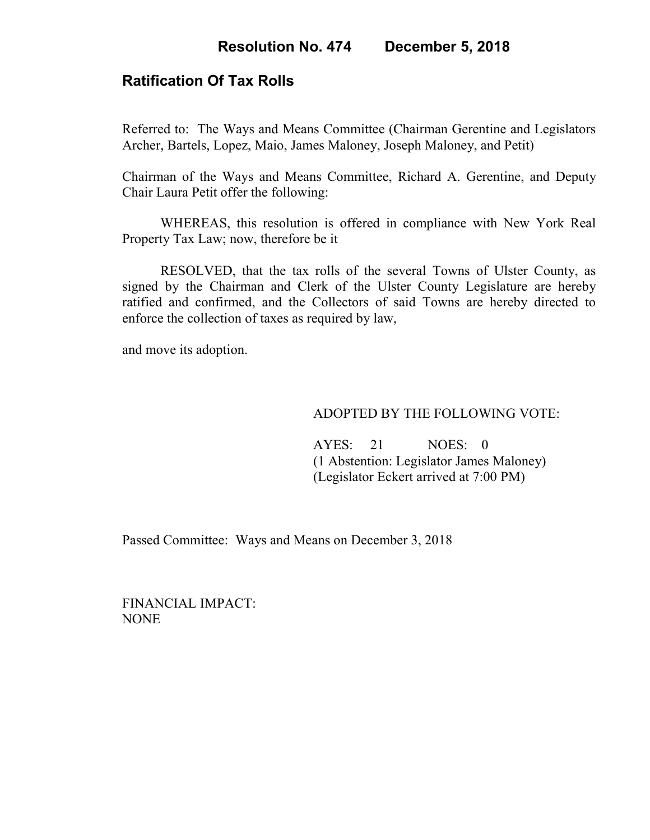# **Ratification Of Tax Rolls**

Referred to: The Ways and Means Committee (Chairman Gerentine and Legislators Archer, Bartels, Lopez, Maio, James Maloney, Joseph Maloney, and Petit)

Chairman of the Ways and Means Committee, Richard A. Gerentine, and Deputy Chair Laura Petit offer the following:

WHEREAS, this resolution is offered in compliance with New York Real Property Tax Law; now, therefore be it

RESOLVED, that the tax rolls of the several Towns of Ulster County, as signed by the Chairman and Clerk of the Ulster County Legislature are hereby ratified and confirmed, and the Collectors of said Towns are hereby directed to enforce the collection of taxes as required by law,

and move its adoption.

### ADOPTED BY THE FOLLOWING VOTE:

 AYES: 21 NOES: 0 (1 Abstention: Legislator James Maloney) (Legislator Eckert arrived at 7:00 PM)

Passed Committee: Ways and Means on December 3, 2018

FINANCIAL IMPACT: NONE